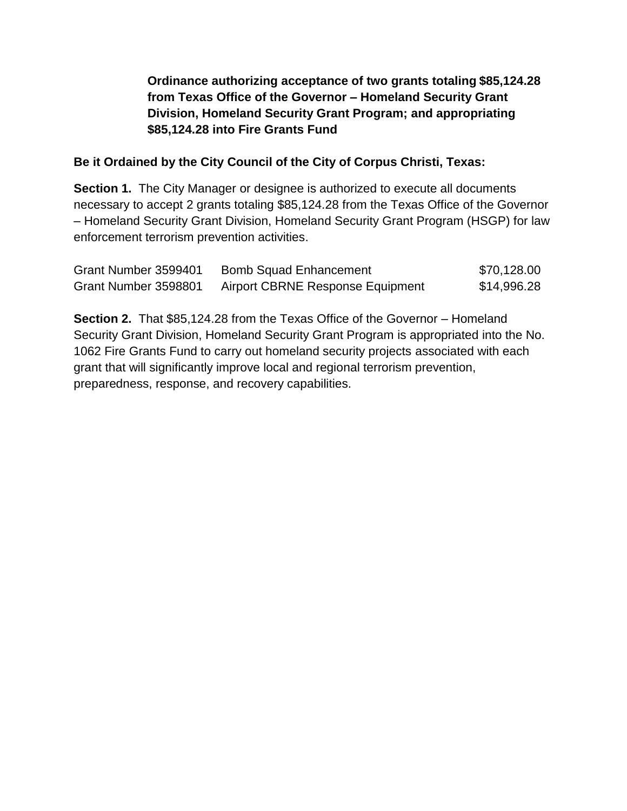**Ordinance authorizing acceptance of two grants totaling \$85,124.28 from Texas Office of the Governor – Homeland Security Grant Division, Homeland Security Grant Program; and appropriating \$85,124.28 into Fire Grants Fund**

## **Be it Ordained by the City Council of the City of Corpus Christi, Texas:**

**Section 1.** The City Manager or designee is authorized to execute all documents necessary to accept 2 grants totaling \$85,124.28 from the Texas Office of the Governor – Homeland Security Grant Division, Homeland Security Grant Program (HSGP) for law enforcement terrorism prevention activities.

| Grant Number 3599401 | <b>Bomb Squad Enhancement</b>    | \$70,128.00 |
|----------------------|----------------------------------|-------------|
| Grant Number 3598801 | Airport CBRNE Response Equipment | \$14,996.28 |

**Section 2.** That \$85,124.28 from the Texas Office of the Governor – Homeland Security Grant Division, Homeland Security Grant Program is appropriated into the No. 1062 Fire Grants Fund to carry out homeland security projects associated with each grant that will significantly improve local and regional terrorism prevention, preparedness, response, and recovery capabilities.